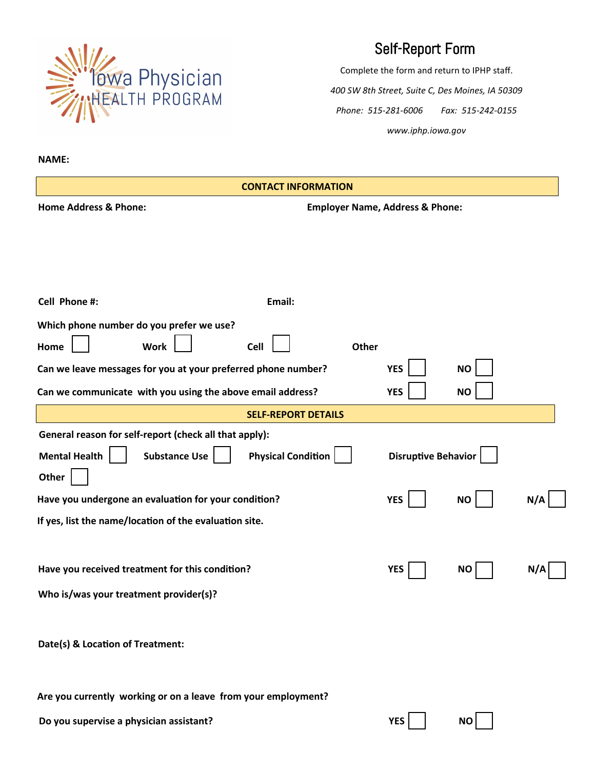

## Self-Report Form

Complete the form and return to IPHP staff. *400 SW 8th Street, Suite C, Des Moines, IA 50309 Phone: 515-281-6006 Fax: 515-242-0155 www.iphp.iowa.gov*

**Which phone number do you prefer we use? Home Work Cell Other Can we communicate with you using the above email address? YES YES NO Can we leave messages for you at your preferred phone number? YES NO Home Address & Phone: Employer Name, Address & Phone: General reason for self-report (check all that apply): Mental Health** | Substance Use | | Physical Condition | | Disruptive Behavior **YES NO N/A YES NO N/A Other Have you undergone an evaluation for your condition? If yes, list the name/location of the evaluation site. Have you received treatment for this condition? Who is/was your treatment provider(s)? Date(s) & Location of Treatment: Cell Phone #: Email: NAME: SELF-REPORT DETAILS CONTACT INFORMATION**

**Are you currently working or on a leave from your employment?**

**Do you supervise a physician assistant? CONS VES NO**